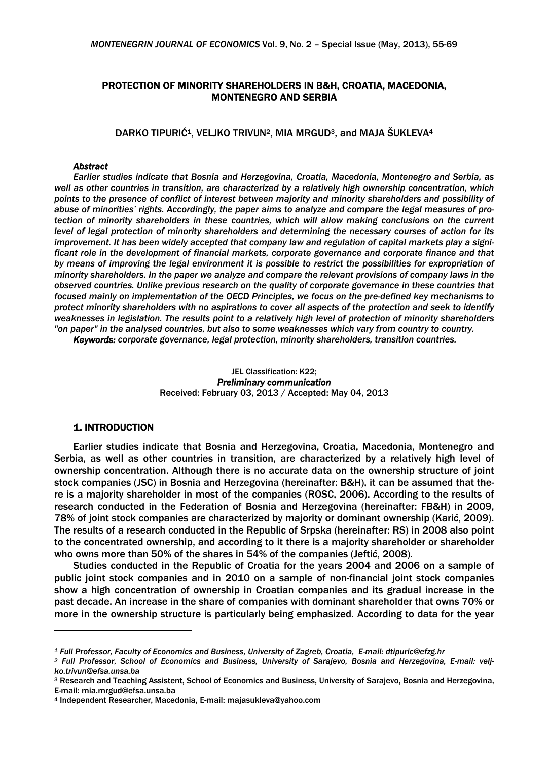# PROTECTION OF MINORITY SHAREHOLDERS IN B&H, CROATIA, MACEDONIA, MONTENEGRO AND SERBIA

DARKO TIPURIĆ<sup>1</sup>, VELJKO TRIVUN<sup>2</sup>, MIA MRGUD<sup>3</sup>, and MAJA ŠUKLEVA<sup>4</sup>

#### *Abstract*

*Earlier studies indicate that Bosnia and Herzegovina, Croatia, Macedonia, Montenegro and Serbia, as well as other countries in transition, are characterized by a relatively high ownership concentration, which points to the presence of conflict of interest between majority and minority shareholders and possibility of abuse of minorities' rights. Accordingly, the paper aims to analyze and compare the legal measures of protection of minority shareholders in these countries, which will allow making conclusions on the current level of legal protection of minority shareholders and determining the necessary courses of action for its improvement. It has been widely accepted that company law and regulation of capital markets play a significant role in the development of financial markets, corporate governance and corporate finance and that by means of improving the legal environment it is possible to restrict the possibilities for expropriation of minority shareholders. In the paper we analyze and compare the relevant provisions of company laws in the observed countries. Unlike previous research on the quality of corporate governance in these countries that focused mainly on implementation of the OECD Principles, we focus on the pre-defined key mechanisms to protect minority shareholders with no aspirations to cover all aspects of the protection and seek to identify weaknesses in legislation. The results point to a relatively high level of protection of minority shareholders "on paper" in the analysed countries, but also to some weaknesses which vary from country to country.* 

*Keywords: corporate governance, legal protection, minority shareholders, transition countries.* 

### JEL Classification: K22; *Preliminary communication*  Received: February 03, 2013 / Accepted: May 04, 2013

# 1. INTRODUCTION

 $\overline{a}$ 

Earlier studies indicate that Bosnia and Herzegovina, Croatia, Macedonia, Montenegro and Serbia, as well as other countries in transition, are characterized by a relatively high level of ownership concentration. Although there is no accurate data on the ownership structure of joint stock companies (JSC) in Bosnia and Herzegovina (hereinafter: B&H), it can be assumed that there is a majority shareholder in most of the companies (ROSC, 2006). According to the results of research conducted in the Federation of Bosnia and Herzegovina (hereinafter: FB&H) in 2009, 78% of joint stock companies are characterized by majority or dominant ownership (Karić, 2009). The results of a research conducted in the Republic of Srpska (hereinafter: RS) in 2008 also point to the concentrated ownership, and according to it there is a majority shareholder or shareholder who owns more than 50% of the shares in 54% of the companies (Jeftić, 2008).

Studies conducted in the Republic of Croatia for the years 2004 and 2006 on a sample of public joint stock companies and in 2010 on a sample of non-financial joint stock companies show a high concentration of ownership in Croatian companies and its gradual increase in the past decade. An increase in the share of companies with dominant shareholder that owns 70% or more in the ownership structure is particularly being emphasized. According to data for the year

<sup>&</sup>lt;sup>1</sup> Full Professor, Faculty of Economics and Business, University of Zagreb, Croatia, E-mail: dtipuric@efzg.hr<br><sup>2</sup> Full Professor, School of Economics and Business, University of Saraievo, Bosnia and Herzegovina, E-mail: v *ko.trivun@efsa.unsa.ba* 

<sup>3</sup> Research and Teaching Assistent, School of Economics and Business, University of Sarajevo, Bosnia and Herzegovina, E-mail: mia.mrgud@efsa.unsa.ba

<sup>4</sup> Independent Researcher, Macedonia, E-mail: majasukleva@yahoo.com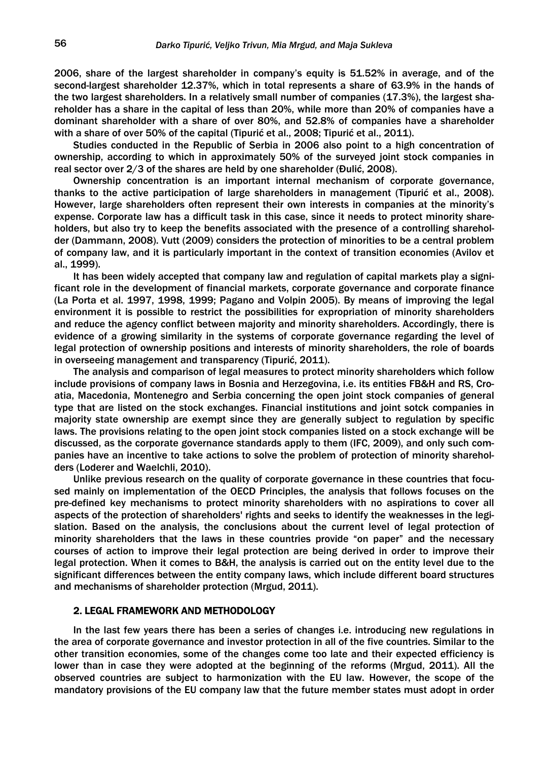2006, share of the largest shareholder in company's equity is 51.52% in average, and of the second-largest shareholder 12.37%, which in total represents a share of 63.9% in the hands of the two largest shareholders. In a relatively small number of companies (17.3%), the largest shareholder has a share in the capital of less than 20%, while more than 20% of companies have a dominant shareholder with a share of over 80%, and 52.8% of companies have a shareholder with a share of over 50% of the capital (Tipurić et al., 2008; Tipurić et al., 2011).

Studies conducted in the Republic of Serbia in 2006 also point to a high concentration of ownership, according to which in approximately 50% of the surveyed joint stock companies in real sector over 2/3 of the shares are held by one shareholder (Đulić, 2008).

Ownership concentration is an important internal mechanism of corporate governance, thanks to the active participation of large shareholders in management (Tipurić et al., 2008). However, large shareholders often represent their own interests in companies at the minority's expense. Corporate law has a difficult task in this case, since it needs to protect minority shareholders, but also try to keep the benefits associated with the presence of a controlling shareholder (Dammann, 2008). Vutt (2009) considers the protection of minorities to be a central problem of company law, and it is particularly important in the context of transition economies (Avilov et al., 1999).

It has been widely accepted that company law and regulation of capital markets play a significant role in the development of financial markets, corporate governance and corporate finance (La Porta et al. 1997, 1998, 1999; Pagano and Volpin 2005). By means of improving the legal environment it is possible to restrict the possibilities for expropriation of minority shareholders and reduce the agency conflict between majority and minority shareholders. Accordingly, there is evidence of a growing similarity in the systems of corporate governance regarding the level of legal protection of ownership positions and interests of minority shareholders, the role of boards in overseeing management and transparency (Tipurić, 2011).

The analysis and comparison of legal measures to protect minority shareholders which follow include provisions of company laws in Bosnia and Herzegovina, i.e. its entities FB&H and RS, Croatia, Macedonia, Montenegro and Serbia concerning the open joint stock companies of general type that are listed on the stock exchanges. Financial institutions and joint sotck companies in majority state ownership are exempt since they are generally subject to regulation by specific laws. The provisions relating to the open joint stock companies listed on a stock exchange will be discussed, as the corporate governance standards apply to them (IFC, 2009), and only such companies have an incentive to take actions to solve the problem of protection of minority shareholders (Loderer and Waelchli, 2010).

Unlike previous research on the quality of corporate governance in these countries that focused mainly on implementation of the OECD Principles, the analysis that follows focuses on the pre-defined key mechanisms to protect minority shareholders with no aspirations to cover all aspects of the protection of shareholders' rights and seeks to identify the weaknesses in the legislation. Based on the analysis, the conclusions about the current level of legal protection of minority shareholders that the laws in these countries provide "on paper" and the necessary courses of action to improve their legal protection are being derived in order to improve their legal protection. When it comes to B&H, the analysis is carried out on the entity level due to the significant differences between the entity company laws, which include different board structures and mechanisms of shareholder protection (Mrgud, 2011).

#### 2. LEGAL FRAMEWORK AND METHODOLOGY

In the last few years there has been a series of changes i.e. introducing new regulations in the area of corporate governance and investor protection in all of the five countries. Similar to the other transition economies, some of the changes come too late and their expected efficiency is lower than in case they were adopted at the beginning of the reforms (Mrgud, 2011). All the observed countries are subject to harmonization with the EU law. However, the scope of the mandatory provisions of the EU company law that the future member states must adopt in order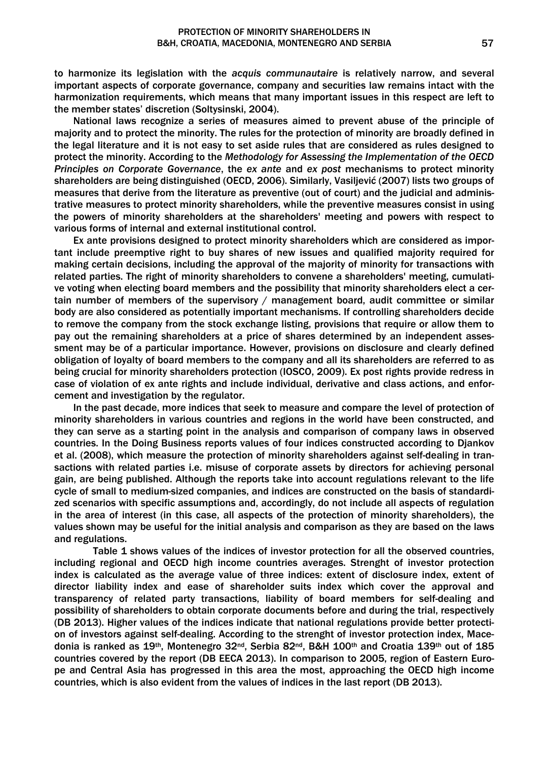to harmonize its legislation with the *acquis communautaire* is relatively narrow, and several important aspects of corporate governance, company and securities law remains intact with the harmonization requirements, which means that many important issues in this respect are left to the member states' discretion (Soltysinski, 2004).

National laws recognize a series of measures aimed to prevent abuse of the principle of majority and to protect the minority. The rules for the protection of minority are broadly defined in the legal literature and it is not easy to set aside rules that are considered as rules designed to protect the minority. According to the *Methodology for Assessing the Implementation of the OECD Principles on Corporate Governance*, the *ex ante* and *ex post* mechanisms to protect minority shareholders are being distinguished (OECD, 2006). Similarly, Vasiljević (2007) lists two groups of measures that derive from the literature as preventive (out of court) and the judicial and administrative measures to protect minority shareholders, while the preventive measures consist in using the powers of minority shareholders at the shareholders' meeting and powers with respect to various forms of internal and external institutional control.

Ex ante provisions designed to protect minority shareholders which are considered as important include preemptive right to buy shares of new issues and qualified majority required for making certain decisions, including the approval of the majority of minority for transactions with related parties. The right of minority shareholders to convene a shareholders' meeting, cumulative voting when electing board members and the possibility that minority shareholders elect a certain number of members of the supervisory / management board, audit committee or similar body are also considered as potentially important mechanisms. If controlling shareholders decide to remove the company from the stock exchange listing, provisions that require or allow them to pay out the remaining shareholders at a price of shares determined by an independent assessment may be of a particular importance. However, provisions on disclosure and clearly defined obligation of loyalty of board members to the company and all its shareholders are referred to as being crucial for minority shareholders protection (IOSCO, 2009). Ex post rights provide redress in case of violation of ex ante rights and include individual, derivative and class actions, and enforcement and investigation by the regulator.

In the past decade, more indices that seek to measure and compare the level of protection of minority shareholders in various countries and regions in the world have been constructed, and they can serve as a starting point in the analysis and comparison of company laws in observed countries. In the Doing Business reports values of four indices constructed according to Djankov et al. (2008), which measure the protection of minority shareholders against self-dealing in transactions with related parties i.e. misuse of corporate assets by directors for achieving personal gain, are being published. Although the reports take into account regulations relevant to the life cycle of small to medium-sized companies, and indices are constructed on the basis of standardized scenarios with specific assumptions and, accordingly, do not include all aspects of regulation in the area of interest (in this case, all aspects of the protection of minority shareholders), the values shown may be useful for the initial analysis and comparison as they are based on the laws and regulations.

 Table 1 shows values of the indices of investor protection for all the observed countries, including regional and OECD high income countries averages. Strenght of investor protection index is calculated as the average value of three indices: extent of disclosure index, extent of director liability index and ease of shareholder suits index which cover the approval and transparency of related party transactions, liability of board members for self-dealing and possibility of shareholders to obtain corporate documents before and during the trial, respectively (DB 2013). Higher values of the indices indicate that national regulations provide better protection of investors against self-dealing. According to the strenght of investor protection index, Macedonia is ranked as 19<sup>th</sup>, Montenegro 32<sup>nd</sup>, Serbia 82<sup>nd</sup>, B&H 100<sup>th</sup> and Croatia 139<sup>th</sup> out of 185 countries covered by the report (DB EECA 2013). In comparison to 2005, region of Eastern Europe and Central Asia has progressed in this area the most, approaching the OECD high income countries, which is also evident from the values of indices in the last report (DB 2013).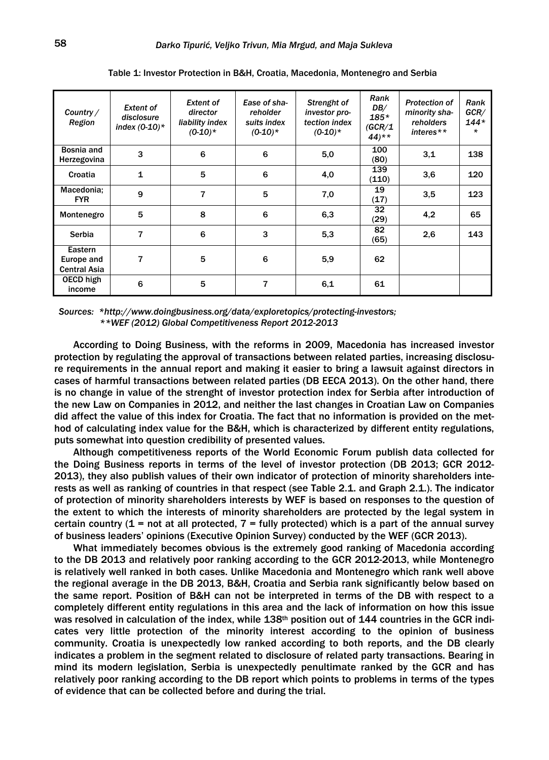| Country /<br>Region                          | <b>Extent of</b><br>disclosure<br>index $(0-10)^*$ | <b>Extent of</b><br>director<br>liability index<br>$(0-10)*$ | Ease of sha-<br>reholder<br>suits index<br>$(0-10)^*$ | Strenght of<br>investor pro-<br>tection index<br>$(0-10)^*$ | Rank<br>DB/<br>$185*$<br>(GCR/1<br>$44$ <sup>**</sup> | <b>Protection of</b><br>minority sha-<br>reholders<br>interes $**$ | Rank<br>GCR/<br>144*<br>$\star$ |
|----------------------------------------------|----------------------------------------------------|--------------------------------------------------------------|-------------------------------------------------------|-------------------------------------------------------------|-------------------------------------------------------|--------------------------------------------------------------------|---------------------------------|
| Bosnia and<br>Herzegovina                    | 3                                                  | 6                                                            | 6                                                     | 5,0                                                         | 100<br>(80)                                           | 3,1                                                                | 138                             |
| Croatia                                      | $\mathbf{1}$                                       | 5                                                            | 6                                                     | 4,0                                                         | 139<br>(110)                                          | 3,6                                                                | 120                             |
| Macedonia:<br><b>FYR</b>                     | 9                                                  | 7                                                            | 5                                                     | 7,0                                                         | 19<br>(17)                                            | 3,5                                                                | 123                             |
| Montenegro                                   | 5                                                  | 8                                                            | 6                                                     | 6,3                                                         | 32<br>(29)                                            | 4,2                                                                | 65                              |
| Serbia                                       | 7                                                  | 6                                                            | 3                                                     | 5,3                                                         | 82<br>(65)                                            | 2,6                                                                | 143                             |
| Eastern<br>Europe and<br><b>Central Asia</b> | 7                                                  | 5                                                            | 6                                                     | 5,9                                                         | 62                                                    |                                                                    |                                 |
| OECD high<br>income                          | 6                                                  | 5                                                            | 7                                                     | 6,1                                                         | 61                                                    |                                                                    |                                 |

Table 1: Investor Protection in B&H, Croatia, Macedonia, Montenegro and Serbia

*Sources: \*http://www.doingbusiness.org/data/exploretopics/protecting-investors; \*\*WEF (2012) Global Competitiveness Report 2012-2013* 

According to Doing Business, with the reforms in 2009, Macedonia has increased investor protection by regulating the approval of transactions between related parties, increasing disclosure requirements in the annual report and making it easier to bring a lawsuit against directors in cases of harmful transactions between related parties (DB EECA 2013). On the other hand, there is no change in value of the strenght of investor protection index for Serbia after introduction of the new Law on Companies in 2012, and neither the last changes in Croatian Law on Companies did affect the value of this index for Croatia. The fact that no information is provided on the method of calculating index value for the B&H, which is characterized by different entity regulations, puts somewhat into question credibility of presented values.

Although competitiveness reports of the World Economic Forum publish data collected for the Doing Business reports in terms of the level of investor protection (DB 2013; GCR 2012- 2013), they also publish values of their own indicator of protection of minority shareholders interests as well as ranking of countries in that respect (see Table 2.1. and Graph 2.1.). The indicator of protection of minority shareholders interests by WEF is based on responses to the question of the extent to which the interests of minority shareholders are protected by the legal system in certain country (1 = not at all protected,  $7$  = fully protected) which is a part of the annual survey of business leaders' opinions (Executive Opinion Survey) conducted by the WEF (GCR 2013).

What immediately becomes obvious is the extremely good ranking of Macedonia according to the DB 2013 and relatively poor ranking according to the GCR 2012-2013, while Montenegro is relatively well ranked in both cases. Unlike Macedonia and Montenegro which rank well above the regional average in the DB 2013, B&H, Croatia and Serbia rank significantly below based on the same report. Position of B&H can not be interpreted in terms of the DB with respect to a completely different entity regulations in this area and the lack of information on how this issue was resolved in calculation of the index, while 138<sup>th</sup> position out of 144 countries in the GCR indicates very little protection of the minority interest according to the opinion of business community. Croatia is unexpectedly low ranked according to both reports, and the DB clearly indicates a problem in the segment related to disclosure of related party transactions. Bearing in mind its modern legislation, Serbia is unexpectedly penultimate ranked by the GCR and has relatively poor ranking according to the DB report which points to problems in terms of the types of evidence that can be collected before and during the trial.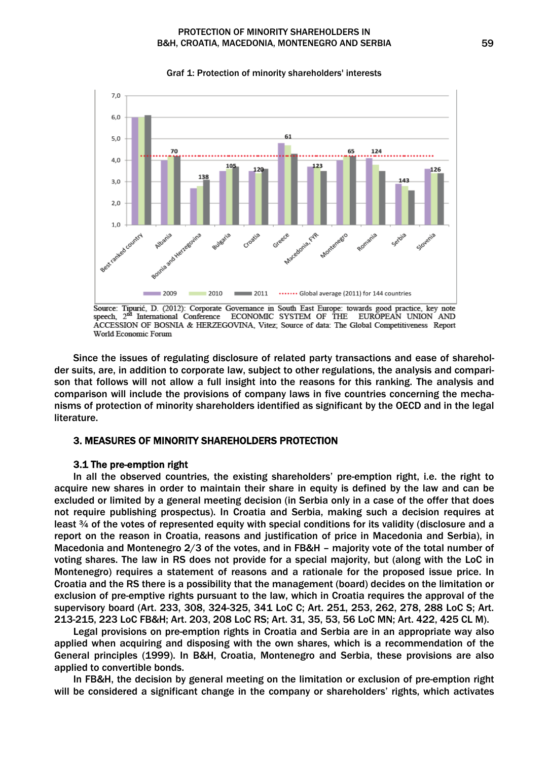#### PROTECTION OF MINORITY SHAREHOLDERS IN B&H, CROATIA, MACEDONIA, MONTENEGRO AND SERBIA 59



Graf 1: Protection of minority shareholders' interests

Since the issues of regulating disclosure of related party transactions and ease of shareholder suits, are, in addition to corporate law, subject to other regulations, the analysis and comparison that follows will not allow a full insight into the reasons for this ranking. The analysis and comparison will include the provisions of company laws in five countries concerning the mechanisms of protection of minority shareholders identified as significant by the OECD and in the legal literature.

## 3. MEASURES OF MINORITY SHAREHOLDERS PROTECTION

### 3.1 The pre-emption right

In all the observed countries, the existing shareholders' pre-emption right, i.e. the right to acquire new shares in order to maintain their share in equity is defined by the law and can be excluded or limited by a general meeting decision (in Serbia only in a case of the offer that does not require publishing prospectus). In Croatia and Serbia, making such a decision requires at least ¾ of the votes of represented equity with special conditions for its validity (disclosure and a report on the reason in Croatia, reasons and justification of price in Macedonia and Serbia), in Macedonia and Montenegro 2/3 of the votes, and in FB&H – majority vote of the total number of voting shares. The law in RS does not provide for a special majority, but (along with the LoC in Montenegro) requires a statement of reasons and a rationale for the proposed issue price. In Croatia and the RS there is a possibility that the management (board) decides on the limitation or exclusion of pre-emptive rights pursuant to the law, which in Croatia requires the approval of the supervisory board (Art. 233, 308, 324-325, 341 LoC C; Art. 251, 253, 262, 278, 288 LoC S; Art. 213-215, 223 LoC FB&H; Art. 203, 208 LoC RS; Art. 31, 35, 53, 56 LoC MN; Art. 422, 425 CL M).

Legal provisions on pre-emption rights in Croatia and Serbia are in an appropriate way also applied when acquiring and disposing with the own shares, which is a recommendation of the General principles (1999). In B&H, Croatia, Montenegro and Serbia, these provisions are also applied to convertible bonds.

In FB&H, the decision by general meeting on the limitation or exclusion of pre-emption right will be considered a significant change in the company or shareholders' rights, which activates

Source: Tipurić, D. (2012): Corporate Governance in South East Europe: towards good practice, key note speech, 2<sup>nd</sup> International Conference ECONOMIC SYSTEM OF THE EUROPEAN UNION AND ACCESSION OF BOSNIA & HERZEGOVINA, Vitez; Source of data: The Global Competitiveness Report World Economic Forum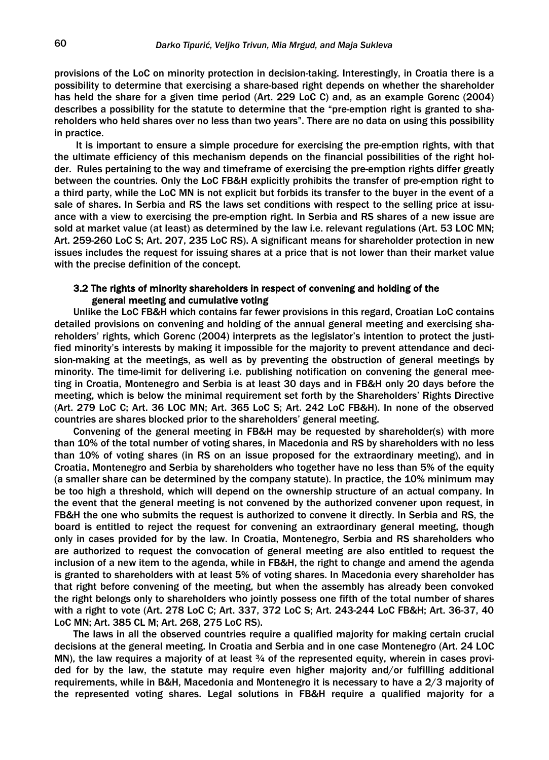provisions of the LoC on minority protection in decision-taking. Interestingly, in Croatia there is a possibility to determine that exercising a share-based right depends on whether the shareholder has held the share for a given time period (Art. 229 LoC C) and, as an example Gorenc (2004) describes a possibility for the statute to determine that the "pre-emption right is granted to shareholders who held shares over no less than two years". There are no data on using this possibility in practice.

 It is important to ensure a simple procedure for exercising the pre-emption rights, with that the ultimate efficiency of this mechanism depends on the financial possibilities of the right holder. Rules pertaining to the way and timeframe of exercising the pre-emption rights differ greatly between the countries. Only the LoC FB&H explicitly prohibits the transfer of pre-emption right to a third party, while the LoC MN is not explicit but forbids its transfer to the buyer in the event of a sale of shares. In Serbia and RS the laws set conditions with respect to the selling price at issuance with a view to exercising the pre-emption right. In Serbia and RS shares of a new issue are sold at market value (at least) as determined by the law i.e. relevant regulations (Art. 53 LOC MN; Art. 259-260 LoC S; Art. 207, 235 LoC RS). A significant means for shareholder protection in new issues includes the request for issuing shares at a price that is not lower than their market value with the precise definition of the concept.

## 3.2 The rights of minority shareholders in respect of convening and holding of the general meeting and cumulative voting

Unlike the LoC FB&H which contains far fewer provisions in this regard, Croatian LoC contains detailed provisions on convening and holding of the annual general meeting and exercising shareholders' rights, which Gorenc (2004) interprets as the legislator's intention to protect the justified minority's interests by making it impossible for the majority to prevent attendance and decision-making at the meetings, as well as by preventing the obstruction of general meetings by minority. The time-limit for delivering i.e. publishing notification on convening the general meeting in Croatia, Montenegro and Serbia is at least 30 days and in FB&H only 20 days before the meeting, which is below the minimal requirement set forth by the Shareholders' Rights Directive (Art. 279 LoC C; Art. 36 LOC MN; Art. 365 LoC S; Art. 242 LoC FB&H). In none of the observed countries are shares blocked prior to the shareholders' general meeting.

Convening of the general meeting in FB&H may be requested by shareholder(s) with more than 10% of the total number of voting shares, in Macedonia and RS by shareholders with no less than 10% of voting shares (in RS on an issue proposed for the extraordinary meeting), and in Croatia, Montenegro and Serbia by shareholders who together have no less than 5% of the equity (a smaller share can be determined by the company statute). In practice, the 10% minimum may be too high a threshold, which will depend on the ownership structure of an actual company. In the event that the general meeting is not convened by the authorized convener upon request, in FB&H the one who submits the request is authorized to convene it directly. In Serbia and RS, the board is entitled to reject the request for convening an extraordinary general meeting, though only in cases provided for by the law. In Croatia, Montenegro, Serbia and RS shareholders who are authorized to request the convocation of general meeting are also entitled to request the inclusion of a new item to the agenda, while in FB&H, the right to change and amend the agenda is granted to shareholders with at least 5% of voting shares. In Macedonia every shareholder has that right before convening of the meeting, but when the assembly has already been convoked the right belongs only to shareholders who jointly possess one fifth of the total number of shares with a right to vote (Art. 278 LoC C; Art. 337, 372 LoC S; Art. 243-244 LoC FB&H; Art. 36-37, 40 LoC MN; Art. 385 CL M; Art. 268, 275 LoC RS).

The laws in all the observed countries require a qualified majority for making certain crucial decisions at the general meeting. In Croatia and Serbia and in one case Montenegro (Art. 24 LOC MN), the law requires a majority of at least  $\frac{3}{4}$  of the represented equity, wherein in cases provided for by the law, the statute may require even higher majority and/or fulfilling additional requirements, while in B&H, Macedonia and Montenegro it is necessary to have a 2/3 majority of the represented voting shares. Legal solutions in FB&H require a qualified majority for a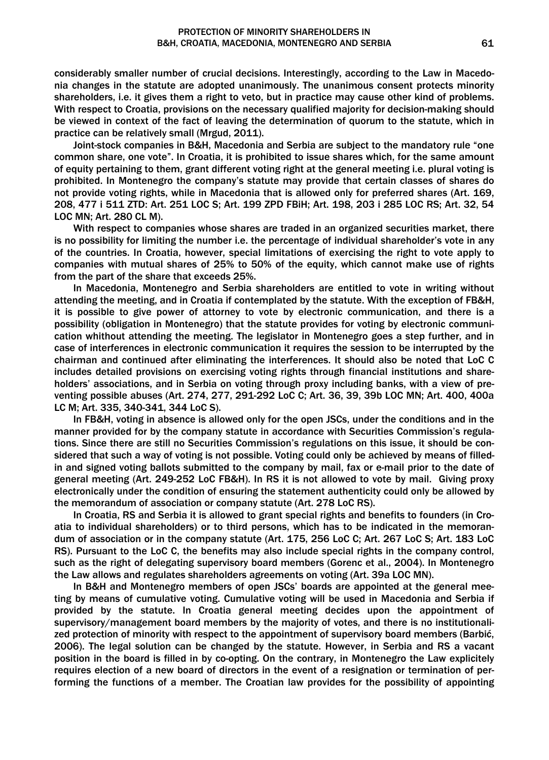considerably smaller number of crucial decisions. Interestingly, according to the Law in Macedonia changes in the statute are adopted unanimously. The unanimous consent protects minority shareholders, i.e. it gives them a right to veto, but in practice may cause other kind of problems. With respect to Croatia, provisions on the necessary qualified majority for decision-making should be viewed in context of the fact of leaving the determination of quorum to the statute, which in practice can be relatively small (Mrgud, 2011).

Joint-stock companies in B&H, Macedonia and Serbia are subject to the mandatory rule "one common share, one vote". In Croatia, it is prohibited to issue shares which, for the same amount of equity pertaining to them, grant different voting right at the general meeting i.e. plural voting is prohibited. In Montenegro the company's statute may provide that certain classes of shares do not provide voting rights, while in Macedonia that is allowed only for preferred shares (Art. 169, 208, 477 i 511 ZTD: Art. 251 LOC S; Art. 199 ZPD FBiH; Art. 198, 203 i 285 LOC RS; Art. 32, 54 LOC MN; Art. 280 CL M).

With respect to companies whose shares are traded in an organized securities market, there is no possibility for limiting the number i.e. the percentage of individual shareholder's vote in any of the countries. In Croatia, however, special limitations of exercising the right to vote apply to companies with mutual shares of 25% to 50% of the equity, which cannot make use of rights from the part of the share that exceeds 25%.

In Macedonia, Montenegro and Serbia shareholders are entitled to vote in writing without attending the meeting, and in Croatia if contemplated by the statute. With the exception of FB&H, it is possible to give power of attorney to vote by electronic communication, and there is a possibility (obligation in Montenegro) that the statute provides for voting by electronic communication whithout attending the meeting. The legislator in Montenegro goes a step further, and in case of interferences in electronic communication it requires the session to be interrupted by the chairman and continued after eliminating the interferences. It should also be noted that LoC C includes detailed provisions on exercising voting rights through financial institutions and shareholders' associations, and in Serbia on voting through proxy including banks, with a view of preventing possible abuses (Art. 274, 277, 291-292 LoC C; Art. 36, 39, 39b LOC MN; Art. 400, 400a LC M; Art. 335, 340-341, 344 LoC S).

In FB&H, voting in absence is allowed only for the open JSCs, under the conditions and in the manner provided for by the company statute in accordance with Securities Commission's regulations. Since there are still no Securities Commission's regulations on this issue, it should be considered that such a way of voting is not possible. Voting could only be achieved by means of filledin and signed voting ballots submitted to the company by mail, fax or e-mail prior to the date of general meeting (Art. 249-252 LoC FB&H). In RS it is not allowed to vote by mail. Giving proxy electronically under the condition of ensuring the statement authenticity could only be allowed by the memorandum of association or company statute (Art. 278 LoC RS).

In Croatia, RS and Serbia it is allowed to grant special rights and benefits to founders (in Croatia to individual shareholders) or to third persons, which has to be indicated in the memorandum of association or in the company statute (Art. 175, 256 LoC C; Art. 267 LoC S; Art. 183 LoC RS). Pursuant to the LoC C, the benefits may also include special rights in the company control, such as the right of delegating supervisory board members (Gorenc et al., 2004). In Montenegro the Law allows and regulates shareholders agreements on voting (Art. 39a LOC MN).

In B&H and Montenegro members of open JSCs' boards are appointed at the general meeting by means of cumulative voting. Cumulative voting will be used in Macedonia and Serbia if provided by the statute. In Croatia general meeting decides upon the appointment of supervisory/management board members by the majority of votes, and there is no institutionalized protection of minority with respect to the appointment of supervisory board members (Barbić, 2006). The legal solution can be changed by the statute. However, in Serbia and RS a vacant position in the board is filled in by co-opting. On the contrary, in Montenegro the Law explicitely requires election of a new board of directors in the event of a resignation or termination of performing the functions of a member. The Croatian law provides for the possibility of appointing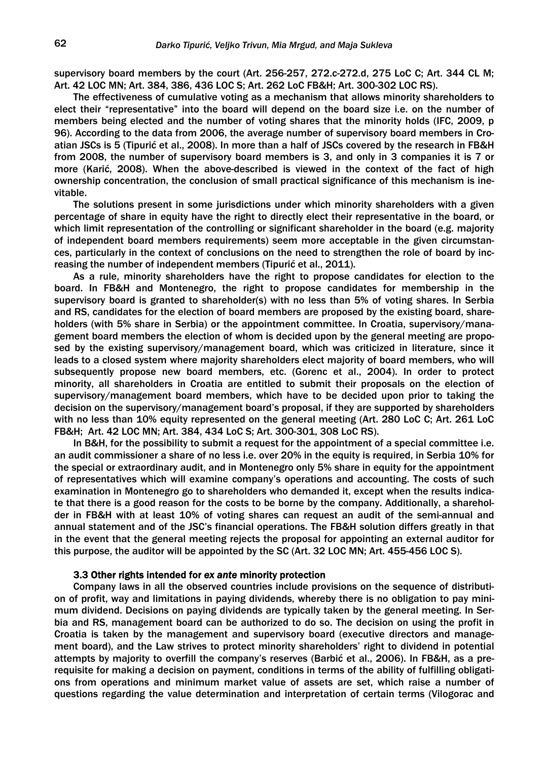supervisory board members by the court (Art. 256-257, 272.c-272.d, 275 LoC C; Art. 344 CL M; Art. 42 LOC MN; Art. 384, 386, 436 LOC S; Art. 262 LoC FB&H; Art. 300-302 LOC RS).

The effectiveness of cumulative voting as a mechanism that allows minority shareholders to elect their "representative" into the board will depend on the board size i.e. on the number of members being elected and the number of voting shares that the minority holds (IFC, 2009, p 96). According to the data from 2006, the average number of supervisory board members in Croatian JSCs is 5 (Tipurić et al., 2008). In more than a half of JSCs covered by the research in FB&H from 2008, the number of supervisory board members is 3, and only in 3 companies it is 7 or more (Karić, 2008). When the above-described is viewed in the context of the fact of high ownership concentration, the conclusion of small practical significance of this mechanism is inevitable.

The solutions present in some jurisdictions under which minority shareholders with a given percentage of share in equity have the right to directly elect their representative in the board, or which limit representation of the controlling or significant shareholder in the board (e.g. majority of independent board members requirements) seem more acceptable in the given circumstances, particularly in the context of conclusions on the need to strengthen the role of board by increasing the number of independent members (Tipurić et al., 2011).

As a rule, minority shareholders have the right to propose candidates for election to the board. In FB&H and Montenegro, the right to propose candidates for membership in the supervisory board is granted to shareholder(s) with no less than 5% of voting shares. In Serbia and RS, candidates for the election of board members are proposed by the existing board, shareholders (with 5% share in Serbia) or the appointment committee. In Croatia, supervisory/management board members the election of whom is decided upon by the general meeting are proposed by the existing supervisory/management board, which was criticized in literature, since it leads to a closed system where majority shareholders elect majority of board members, who will subsequently propose new board members, etc. (Gorenc et al., 2004). In order to protect minority, all shareholders in Croatia are entitled to submit their proposals on the election of supervisory/management board members, which have to be decided upon prior to taking the decision on the supervisory/management board's proposal, if they are supported by shareholders with no less than 10% equity represented on the general meeting (Art. 280 LoC C; Art. 261 LoC FB&H; Art. 42 LOC MN; Art. 384, 434 LoC S; Art. 300-301, 308 LoC RS).

In B&H, for the possibility to submit a request for the appointment of a special committee i.e. an audit commissioner a share of no less i.e. over 20% in the equity is required, in Serbia 10% for the special or extraordinary audit, and in Montenegro only 5% share in equity for the appointment of representatives which will examine company's operations and accounting. The costs of such examination in Montenegro go to shareholders who demanded it, except when the results indicate that there is a good reason for the costs to be borne by the company. Additionally, a shareholder in FB&H with at least 10% of voting shares can request an audit of the semi-annual and annual statement and of the JSC's financial operations. The FB&H solution differs greatly in that in the event that the general meeting rejects the proposal for appointing an external auditor for this purpose, the auditor will be appointed by the SC (Art. 32 LOC MN; Art. 455-456 LOC S).

#### 3.3 Other rights intended for *ex ante* minority protection

Company laws in all the observed countries include provisions on the sequence of distribution of profit, way and limitations in paying dividends, whereby there is no obligation to pay minimum dividend. Decisions on paying dividends are typically taken by the general meeting. In Serbia and RS, management board can be authorized to do so. The decision on using the profit in Croatia is taken by the management and supervisory board (executive directors and management board), and the Law strives to protect minority shareholders' right to dividend in potential attempts by majority to overfill the company's reserves (Barbić et al., 2006). In FB&H, as a prerequisite for making a decision on payment, conditions in terms of the ability of fulfilling obligations from operations and minimum market value of assets are set, which raise a number of questions regarding the value determination and interpretation of certain terms (Vilogorac and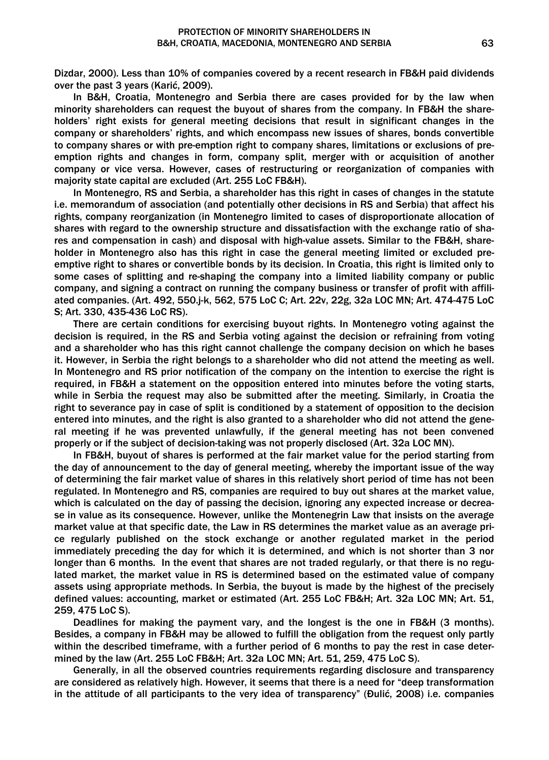Dizdar, 2000). Less than 10% of companies covered by a recent research in FB&H paid dividends over the past 3 years (Karić, 2009).

In B&H, Croatia, Montenegro and Serbia there are cases provided for by the law when minority shareholders can request the buyout of shares from the company. In FB&H the shareholders' right exists for general meeting decisions that result in significant changes in the company or shareholders' rights, and which encompass new issues of shares, bonds convertible to company shares or with pre-emption right to company shares, limitations or exclusions of preemption rights and changes in form, company split, merger with or acquisition of another company or vice versa. However, cases of restructuring or reorganization of companies with majority state capital are excluded (Art. 255 LoC FB&H).

In Montenegro, RS and Serbia, a shareholder has this right in cases of changes in the statute i.e. memorandum of association (and potentially other decisions in RS and Serbia) that affect his rights, company reorganization (in Montenegro limited to cases of disproportionate allocation of shares with regard to the ownership structure and dissatisfaction with the exchange ratio of shares and compensation in cash) and disposal with high-value assets. Similar to the FB&H, shareholder in Montenegro also has this right in case the general meeting limited or excluded preemptive right to shares or convertible bonds by its decision. In Croatia, this right is limited only to some cases of splitting and re-shaping the company into a limited liability company or public company, and signing a contract on running the company business or transfer of profit with affiliated companies. (Art. 492, 550.j-k, 562, 575 LoC C; Art. 22v, 22g, 32a LOC MN; Art. 474-475 LoC S; Art. 330, 435-436 LoC RS).

There are certain conditions for exercising buyout rights. In Montenegro voting against the decision is required, in the RS and Serbia voting against the decision or refraining from voting and a shareholder who has this right cannot challenge the company decision on which he bases it. However, in Serbia the right belongs to a shareholder who did not attend the meeting as well. In Montenegro and RS prior notification of the company on the intention to exercise the right is required, in FB&H a statement on the opposition entered into minutes before the voting starts, while in Serbia the request may also be submitted after the meeting. Similarly, in Croatia the right to severance pay in case of split is conditioned by a statement of opposition to the decision entered into minutes, and the right is also granted to a shareholder who did not attend the general meeting if he was prevented unlawfully, if the general meeting has not been convened properly or if the subject of decision-taking was not properly disclosed (Art. 32a LOC MN).

In FB&H, buyout of shares is performed at the fair market value for the period starting from the day of announcement to the day of general meeting, whereby the important issue of the way of determining the fair market value of shares in this relatively short period of time has not been regulated. In Montenegro and RS, companies are required to buy out shares at the market value, which is calculated on the day of passing the decision, ignoring any expected increase or decrease in value as its consequence. However, unlike the Montenegrin Law that insists on the average market value at that specific date, the Law in RS determines the market value as an average price regularly published on the stock exchange or another regulated market in the period immediately preceding the day for which it is determined, and which is not shorter than 3 nor longer than 6 months. In the event that shares are not traded regularly, or that there is no regulated market, the market value in RS is determined based on the estimated value of company assets using appropriate methods. In Serbia, the buyout is made by the highest of the precisely defined values: accounting, market or estimated (Art. 255 LoC FB&H; Art. 32a LOC MN; Art. 51, 259, 475 LoC S).

Deadlines for making the payment vary, and the longest is the one in FB&H (3 months). Besides, a company in FB&H may be allowed to fulfill the obligation from the request only partly within the described timeframe, with a further period of 6 months to pay the rest in case determined by the law (Art. 255 LoC FB&H; Art. 32a LOC MN; Art. 51, 259, 475 LoC S).

Generally, in all the observed countries requirements regarding disclosure and transparency are considered as relatively high. However, it seems that there is a need for "deep transformation in the attitude of all participants to the very idea of transparency" (Đulić, 2008) i.e. companies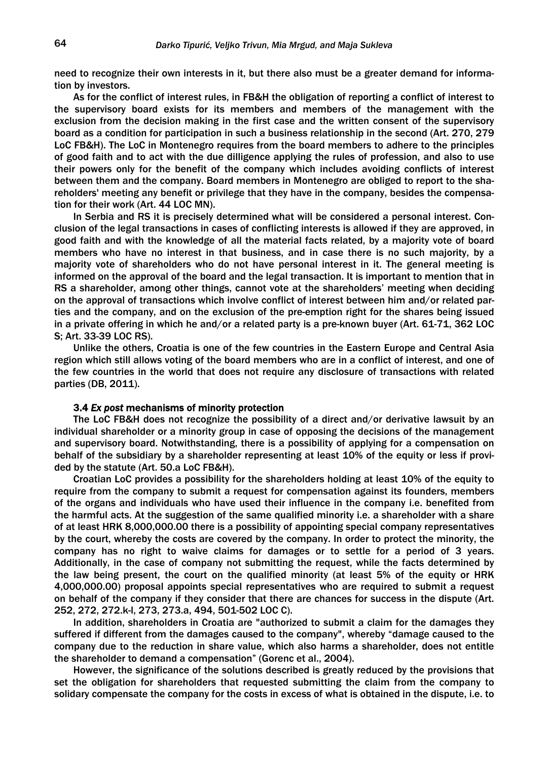need to recognize their own interests in it, but there also must be a greater demand for information by investors.

As for the conflict of interest rules, in FB&H the obligation of reporting a conflict of interest to the supervisory board exists for its members and members of the management with the exclusion from the decision making in the first case and the written consent of the supervisory board as a condition for participation in such a business relationship in the second (Art. 270, 279 LoC FB&H). The LoC in Montenegro requires from the board members to adhere to the principles of good faith and to act with the due dilligence applying the rules of profession, and also to use their powers only for the benefit of the company which includes avoiding conflicts of interest between them and the company. Board members in Montenegro are obliged to report to the shareholders' meeting any benefit or privilege that they have in the company, besides the compensation for their work (Art. 44 LOC MN).

In Serbia and RS it is precisely determined what will be considered a personal interest. Conclusion of the legal transactions in cases of conflicting interests is allowed if they are approved, in good faith and with the knowledge of all the material facts related, by a majority vote of board members who have no interest in that business, and in case there is no such majority, by a majority vote of shareholders who do not have personal interest in it. The general meeting is informed on the approval of the board and the legal transaction. It is important to mention that in RS a shareholder, among other things, cannot vote at the shareholders' meeting when deciding on the approval of transactions which involve conflict of interest between him and/or related parties and the company, and on the exclusion of the pre-emption right for the shares being issued in a private offering in which he and/or a related party is a pre-known buyer (Art. 61-71, 362 LOC S; Art. 33-39 LOC RS).

Unlike the others, Croatia is one of the few countries in the Eastern Europe and Central Asia region which still allows voting of the board members who are in a conflict of interest, and one of the few countries in the world that does not require any disclosure of transactions with related parties (DB, 2011).

#### 3.4 *Ex post* mechanisms of minority protection

The LoC FB&H does not recognize the possibility of a direct and/or derivative lawsuit by an individual shareholder or a minority group in case of opposing the decisions of the management and supervisory board. Notwithstanding, there is a possibility of applying for a compensation on behalf of the subsidiary by a shareholder representing at least 10% of the equity or less if provided by the statute (Art. 50.a LoC FB&H).

Croatian LoC provides a possibility for the shareholders holding at least 10% of the equity to require from the company to submit a request for compensation against its founders, members of the organs and individuals who have used their influence in the company i.e. benefited from the harmful acts. At the suggestion of the same qualified minority i.e. a shareholder with a share of at least HRK 8,000,000.00 there is a possibility of appointing special company representatives by the court, whereby the costs are covered by the company. In order to protect the minority, the company has no right to waive claims for damages or to settle for a period of 3 years. Additionally, in the case of company not submitting the request, while the facts determined by the law being present, the court on the qualified minority (at least 5% of the equity or HRK 4,000,000.00) proposal appoints special representatives who are required to submit a request on behalf of the company if they consider that there are chances for success in the dispute (Art. 252, 272, 272.k-l, 273, 273.a, 494, 501-502 LOC C).

In addition, shareholders in Croatia are "authorized to submit a claim for the damages they suffered if different from the damages caused to the company", whereby "damage caused to the company due to the reduction in share value, which also harms a shareholder, does not entitle the shareholder to demand a compensation" (Gorenc et al., 2004).

However, the significance of the solutions described is greatly reduced by the provisions that set the obligation for shareholders that requested submitting the claim from the company to solidary compensate the company for the costs in excess of what is obtained in the dispute, i.e. to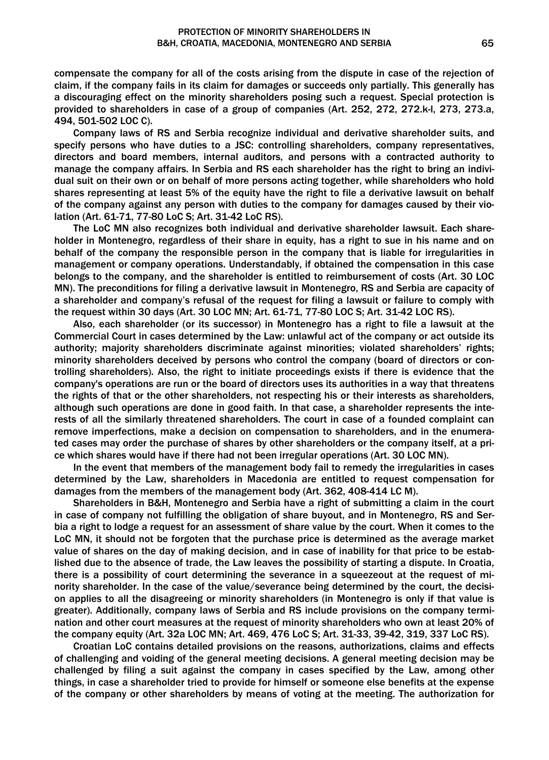compensate the company for all of the costs arising from the dispute in case of the rejection of claim, if the company fails in its claim for damages or succeeds only partially. This generally has a discouraging effect on the minority shareholders posing such a request. Special protection is provided to shareholders in case of a group of companies (Art. 252, 272, 272.k-l, 273, 273.a, 494, 501-502 LOC C).

Company laws of RS and Serbia recognize individual and derivative shareholder suits, and specify persons who have duties to a JSC: controlling shareholders, company representatives, directors and board members, internal auditors, and persons with a contracted authority to manage the company affairs. In Serbia and RS each shareholder has the right to bring an individual suit on their own or on behalf of more persons acting together, while shareholders who hold shares representing at least 5% of the equity have the right to file a derivative lawsuit on behalf of the company against any person with duties to the company for damages caused by their violation (Art. 61-71, 77-80 LoC S; Art. 31-42 LoC RS).

The LoC MN also recognizes both individual and derivative shareholder lawsuit. Each shareholder in Montenegro, regardless of their share in equity, has a right to sue in his name and on behalf of the company the responsible person in the company that is liable for irregularities in management or company operations. Understandably, if obtained the compensation in this case belongs to the company, and the shareholder is entitled to reimbursement of costs (Art. 30 LOC MN). The preconditions for filing a derivative lawsuit in Montenegro, RS and Serbia are capacity of a shareholder and company's refusal of the request for filing a lawsuit or failure to comply with the request within 30 days (Art. 30 LOC MN; Art. 61-71, 77-80 LOC S; Art. 31-42 LOC RS).

Also, each shareholder (or its successor) in Montenegro has a right to file a lawsuit at the Commercial Court in cases determined by the Law: unlawful act of the company or act outside its authority; majority shareholders discriminate against minorities; violated shareholders' rights; minority shareholders deceived by persons who control the company (board of directors or controlling shareholders). Also, the right to initiate proceedings exists if there is evidence that the company's operations are run or the board of directors uses its authorities in a way that threatens the rights of that or the other shareholders, not respecting his or their interests as shareholders, although such operations are done in good faith. In that case, a shareholder represents the interests of all the similarly threatened shareholders. The court in case of a founded complaint can remove imperfections, make a decision on compensation to shareholders, and in the enumerated cases may order the purchase of shares by other shareholders or the company itself, at a price which shares would have if there had not been irregular operations (Art. 30 LOC MN).

In the event that members of the management body fail to remedy the irregularities in cases determined by the Law, shareholders in Macedonia are entitled to request compensation for damages from the members of the management body (Art. 362, 408-414 LC M).

Shareholders in B&H, Montenegro and Serbia have a right of submitting a claim in the court in case of company not fulfilling the obligation of share buyout, and in Montenegro, RS and Serbia a right to lodge a request for an assessment of share value by the court. When it comes to the LoC MN, it should not be forgoten that the purchase price is determined as the average market value of shares on the day of making decision, and in case of inability for that price to be established due to the absence of trade, the Law leaves the possibility of starting a dispute. In Croatia, there is a possibility of court determining the severance in a squeezeout at the request of minority shareholder. In the case of the value/severance being determined by the court, the decision applies to all the disagreeing or minority shareholders (in Montenegro is only if that value is greater). Additionally, company laws of Serbia and RS include provisions on the company termination and other court measures at the request of minority shareholders who own at least 20% of the company equity (Art. 32a LOC MN; Art. 469, 476 LoC S; Art. 31-33, 39-42, 319, 337 LoC RS).

Croatian LoC contains detailed provisions on the reasons, authorizations, claims and effects of challenging and voiding of the general meeting decisions. A general meeting decision may be challenged by filing a suit against the company in cases specified by the Law, among other things, in case a shareholder tried to provide for himself or someone else benefits at the expense of the company or other shareholders by means of voting at the meeting. The authorization for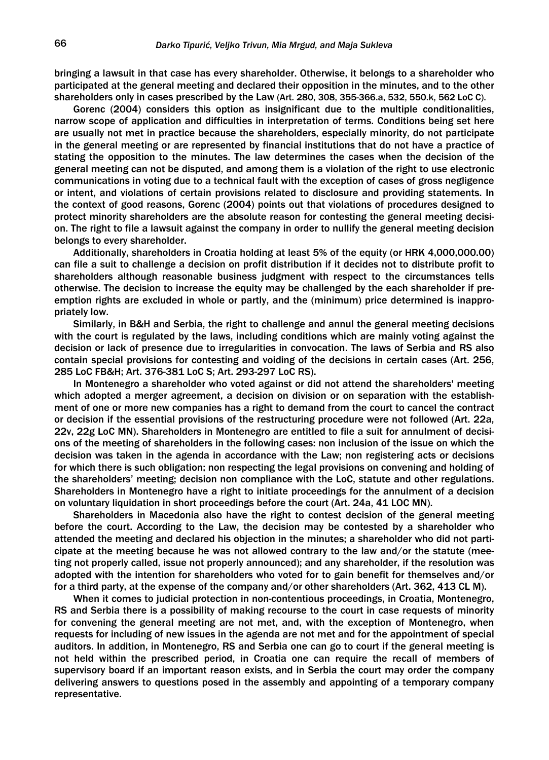bringing a lawsuit in that case has every shareholder. Otherwise, it belongs to a shareholder who participated at the general meeting and declared their opposition in the minutes, and to the other shareholders only in cases prescribed by the Law (Art. 280, 308, 355-366.a, 532, 550.k, 562 LoC C).

Gorenc (2004) considers this option as insignificant due to the multiple conditionalities, narrow scope of application and difficulties in interpretation of terms. Conditions being set here are usually not met in practice because the shareholders, especially minority, do not participate in the general meeting or are represented by financial institutions that do not have a practice of stating the opposition to the minutes. The law determines the cases when the decision of the general meeting can not be disputed, and among them is a violation of the right to use electronic communications in voting due to a technical fault with the exception of cases of gross negligence or intent, and violations of certain provisions related to disclosure and providing statements. In the context of good reasons, Gorenc (2004) points out that violations of procedures designed to protect minority shareholders are the absolute reason for contesting the general meeting decision. The right to file a lawsuit against the company in order to nullify the general meeting decision belongs to every shareholder.

Additionally, shareholders in Croatia holding at least 5% of the equity (or HRK 4,000,000.00) can file a suit to challenge a decision on profit distribution if it decides not to distribute profit to shareholders although reasonable business judgment with respect to the circumstances tells otherwise. The decision to increase the equity may be challenged by the each shareholder if preemption rights are excluded in whole or partly, and the (minimum) price determined is inappropriately low.

Similarly, in B&H and Serbia, the right to challenge and annul the general meeting decisions with the court is regulated by the laws, including conditions which are mainly voting against the decision or lack of presence due to irregularities in convocation. The laws of Serbia and RS also contain special provisions for contesting and voiding of the decisions in certain cases (Art. 256, 285 LoC FB&H; Art. 376-381 LoC S; Art. 293-297 LoC RS).

In Montenegro a shareholder who voted against or did not attend the shareholders' meeting which adopted a merger agreement, a decision on division or on separation with the establishment of one or more new companies has a right to demand from the court to cancel the contract or decision if the essential provisions of the restructuring procedure were not followed (Art. 22a, 22v, 22g LoC MN). Shareholders in Montenegro are entitled to file a suit for annulment of decisions of the meeting of shareholders in the following cases: non inclusion of the issue on which the decision was taken in the agenda in accordance with the Law; non registering acts or decisions for which there is such obligation; non respecting the legal provisions on convening and holding of the shareholders' meeting; decision non compliance with the LoC, statute and other regulations. Shareholders in Montenegro have a right to initiate proceedings for the annulment of a decision on voluntary liquidation in short proceedings before the court (Art. 24a, 41 LOC MN).

Shareholders in Macedonia also have the right to contest decision of the general meeting before the court. According to the Law, the decision may be contested by a shareholder who attended the meeting and declared his objection in the minutes; a shareholder who did not participate at the meeting because he was not allowed contrary to the law and/or the statute (meeting not properly called, issue not properly announced); and any shareholder, if the resolution was adopted with the intention for shareholders who voted for to gain benefit for themselves and/or for a third party, at the expense of the company and/or other shareholders (Art. 362, 413 CL M).

When it comes to judicial protection in non-contentious proceedings, in Croatia, Montenegro, RS and Serbia there is a possibility of making recourse to the court in case requests of minority for convening the general meeting are not met, and, with the exception of Montenegro, when requests for including of new issues in the agenda are not met and for the appointment of special auditors. In addition, in Montenegro, RS and Serbia one can go to court if the general meeting is not held within the prescribed period, in Croatia one can require the recall of members of supervisory board if an important reason exists, and in Serbia the court may order the company delivering answers to questions posed in the assembly and appointing of a temporary company representative.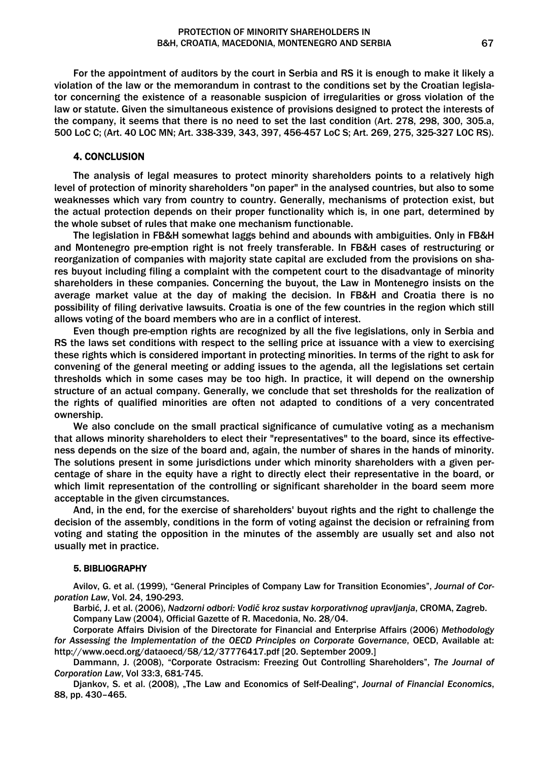For the appointment of auditors by the court in Serbia and RS it is enough to make it likely a violation of the law or the memorandum in contrast to the conditions set by the Croatian legislator concerning the existence of a reasonable suspicion of irregularities or gross violation of the law or statute. Given the simultaneous existence of provisions designed to protect the interests of the company, it seems that there is no need to set the last condition (Art. 278, 298, 300, 305.a, 500 LoC C; (Art. 40 LOC MN; Art. 338-339, 343, 397, 456-457 LoC S; Art. 269, 275, 325-327 LOC RS).

# 4. CONCLUSION

The analysis of legal measures to protect minority shareholders points to a relatively high level of protection of minority shareholders "on paper" in the analysed countries, but also to some weaknesses which vary from country to country. Generally, mechanisms of protection exist, but the actual protection depends on their proper functionality which is, in one part, determined by the whole subset of rules that make one mechanism functionable.

The legislation in FB&H somewhat laggs behind and abounds with ambiguities. Only in FB&H and Montenegro pre-emption right is not freely transferable. In FB&H cases of restructuring or reorganization of companies with majority state capital are excluded from the provisions on shares buyout including filing a complaint with the competent court to the disadvantage of minority shareholders in these companies. Concerning the buyout, the Law in Montenegro insists on the average market value at the day of making the decision. In FB&H and Croatia there is no possibility of filing derivative lawsuits. Croatia is one of the few countries in the region which still allows voting of the board members who are in a conflict of interest.

Even though pre-emption rights are recognized by all the five legislations, only in Serbia and RS the laws set conditions with respect to the selling price at issuance with a view to exercising these rights which is considered important in protecting minorities. In terms of the right to ask for convening of the general meeting or adding issues to the agenda, all the legislations set certain thresholds which in some cases may be too high. In practice, it will depend on the ownership structure of an actual company. Generally, we conclude that set thresholds for the realization of the rights of qualified minorities are often not adapted to conditions of a very concentrated ownership.

We also conclude on the small practical significance of cumulative voting as a mechanism that allows minority shareholders to elect their "representatives" to the board, since its effectiveness depends on the size of the board and, again, the number of shares in the hands of minority. The solutions present in some jurisdictions under which minority shareholders with a given percentage of share in the equity have a right to directly elect their representative in the board, or which limit representation of the controlling or significant shareholder in the board seem more acceptable in the given circumstances.

And, in the end, for the exercise of shareholders' buyout rights and the right to challenge the decision of the assembly, conditions in the form of voting against the decision or refraining from voting and stating the opposition in the minutes of the assembly are usually set and also not usually met in practice.

#### 5. BIBLIOGRAPHY

Avilov, G. et al. (1999), "General Principles of Company Law for Transition Economies", *Journal of Corporation Law*, Vol. 24, 190-293.

Barbić, J. et al. (2006), *Nadzorni odbori: Vodič kroz sustav korporativnog upravljanja*, CROMA, Zagreb. Company Law (2004), Official Gazette of R. Macedonia, No. 28/04.

Corporate Affairs Division of the Directorate for Financial and Enterprise Affairs (2006) *Methodology for Assessing the Implementation of the OECD Principles on Corporate Governance*, OECD, Available at: http://www.oecd.org/dataoecd/58/12/37776417.pdf [20. September 2009.]

Dammann, J. (2008), "Corporate Ostracism: Freezing Out Controlling Shareholders", *The Journal of Corporation Law*, Vol 33:3, 681-745.

Djankov, S. et al. (2008), "The Law and Economics of Self-Dealing", *Journal of Financial Economics*, 88, pp. 430–465.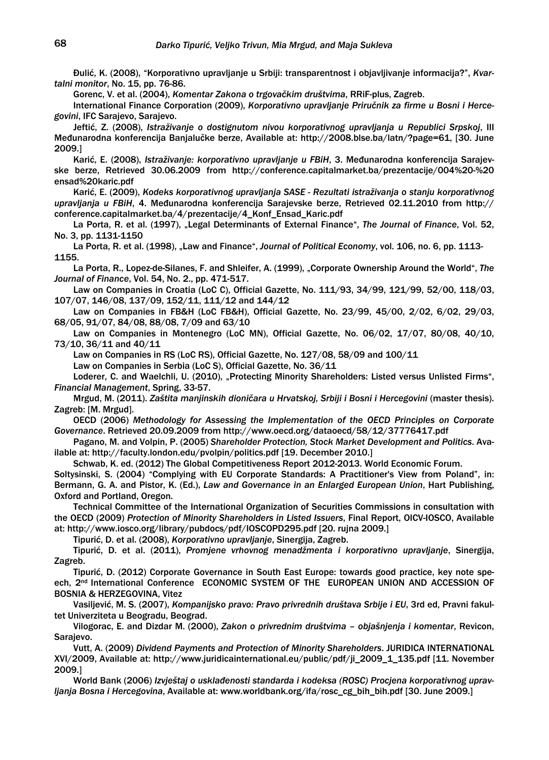Đulić, K. (2008), "Korporativno upravljanje u Srbiji: transparentnost i objavljivanje informacija?", *Kvartalni monitor*, No. 15, pp. 76-86.

Gorenc, V. et al. (2004), *Komentar Zakona o trgovačkim društvima*, RRiF-plus, Zagreb.

International Finance Corporation (2009), *Korporativno upravljanje Priručnik za firme u Bosni i Hercegovini*, IFC Sarajevo, Sarajevo.

Jeftić, Z. (2008), *Istraživanje o dostignutom nivou korporativnog upravljanja u Republici Srpskoj*, III Međunarodna konferencija Banjalučke berze, Available at: http://2008.blse.ba/latn/?page=61, [30. June 2009.]

Karić, E. (2008), *Istraživanje: korporativno upravljanje u FBiH*, 3. Međunarodna konferencija Sarajevske berze, Retrieved 30.06.2009 from http://conference.capitalmarket.ba/prezentacije/004%20-%20 ensad%20karic.pdf

Karić, E. (2009), *Kodeks korporativnog upravljanja SASE - Rezultati istraživanja o stanju korporativnog upravljanja u FBiH*, 4. Međunarodna konferencija Sarajevske berze, Retrieved 02.11.2010 from http:// conference.capitalmarket.ba/4/prezentacije/4\_Konf\_Ensad\_Karic.pdf

La Porta, R. et al. (1997), "Legal Determinants of External Finance", *The Journal of Finance*, Vol. 52, No. 3, pp. 1131-1150

La Porta, R. et al. (1998), "Law and Finance", *Journal of Political Economy*, vol. 106, no. 6, pp. 1113-1155.

La Porta, R., Lopez-de-Silanes, F. and Shleifer, A. (1999), "Corporate Ownership Around the World", *The Journal of Finance*, Vol. 54, No. 2., pp. 471-517.

Law on Companies in Croatia (LoC C), Official Gazette, No. 111/93, 34/99, 121/99, 52/00, 118/03, 107/07, 146/08, 137/09, 152/11, 111/12 and 144/12

Law on Companies in FB&H (LoC FB&H), Official Gazette, No. 23/99, 45/00, 2/02, 6/02, 29/03, 68/05, 91/07, 84/08, 88/08, 7/09 and 63/10

Law on Companies in Montenegro (LoC MN), Official Gazette, No. 06/02, 17/07, 80/08, 40/10, 73/10, 36/11 and 40/11

Law on Companies in RS (LoC RS), Official Gazette, No. 127/08, 58/09 and 100/11

Law on Companies in Serbia (LoC S), Official Gazette, No. 36/11

Loderer, C. and Waelchli, U. (2010), "Protecting Minority Shareholders: Listed versus Unlisted Firms", *Financial Management*, Spring, 33-57.

Mrgud, M. (2011). *Zaštita manjinskih dioničara u Hrvatskoj, Srbiji i Bosni i Hercegovini* (master thesis). Zagreb: [M. Mrgud].

OECD (2006) *Methodology for Assessing the Implementation of the OECD Principles on Corporate Governance*. Retrieved 20.09.2009 from http://www.oecd.org/dataoecd/58/12/37776417.pdf

Pagano, M. and Volpin, P. (2005) *Shareholder Protection, Stock Market Development and Politics*. Available at: http://faculty.london.edu/pvolpin/politics.pdf [19. December 2010.]

Schwab, K. ed. (2012) The Global Competitiveness Report 2012-2013. World Economic Forum.

Soltysinski, S. (2004) "Complying with EU Corporate Standards: A Practitioner's View from Poland", in: Bermann, G. A. and Pistor, K. (Ed.), *Law and Governance in an Enlarged European Union*, Hart Publishing, Oxford and Portland, Oregon.

Technical Committee of the International Organization of Securities Commissions in consultation with the OECD (2009) *Protection of Minority Shareholders in Listed Issuers*, Final Report, OICV-IOSCO, Available at: http://www.iosco.org/library/pubdocs/pdf/IOSCOPD295.pdf [20. rujna 2009.]

Tipurić, D. et al. (2008), *Korporativno upravljanje*, Sinergija, Zagreb.

Tipurić, D. et al. (2011), *Promjene vrhovnog menadžmenta i korporativno upravljanje*, Sinergija, Zagreb.

Tipurić, D. (2012) Corporate Governance in South East Europe: towards good practice, key note speech, 2nd International Conference ECONOMIC SYSTEM OF THE EUROPEAN UNION AND ACCESSION OF BOSNIA & HERZEGOVINA, Vitez

Vasiljević, M. S. (2007), *Kompanijsko pravo: Pravo privrednih društava Srbije i EU*, 3rd ed, Pravni fakultet Univerziteta u Beogradu, Beograd.

Vilogorac, E. and Dizdar M. (2000), *Zakon o privrednim društvima – objašnjenja i komentar*, Revicon, Sarajevo.

Vutt, A. (2009) *Dividend Payments and Protection of Minority Shareholders*. JURIDICA INTERNATIONAL XVI/2009, Available at: http://www.juridicainternational.eu/public/pdf/ji\_2009\_1\_135.pdf [11. November 2009.]

World Bank (2006) *Izvještaj o usklađenosti standarda i kodeksa (ROSC) Procjena korporativnog upravljanja Bosna i Hercegovina*, Available at: www.worldbank.org/ifa/rosc\_cg\_bih\_bih.pdf [30. June 2009.]